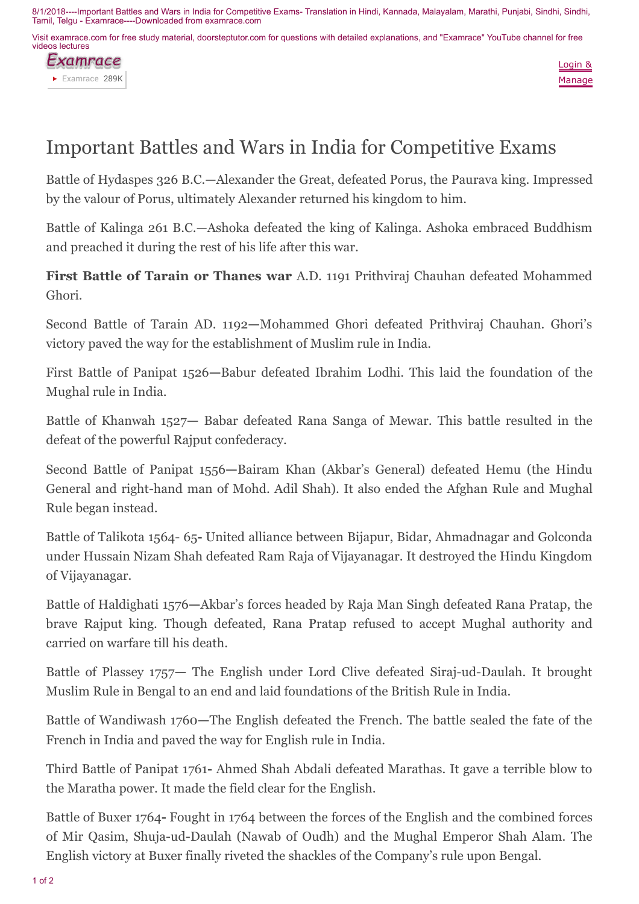8/1/2018----Important Battles and Wars in India for Competitive Exams- Translation in Hindi, Kannada, Malayalam, Marathi, Punjabi, Sindhi, Sindhi, Tamil, Telgu - Examrace----Downloaded from examrace.com

Visit examrace.com for free study material, doorsteptutor.com for questions with detailed explanations, and "Examrace" YouTube channel for free videos lectures





## Important Battles and Wars in India for Competitive Exams

Battle of Hydaspes 326 B.C.—Alexander the Great, defeated Porus, the Paurava king. Impressed by the valour of Porus, ultimately Alexander returned his kingdom to him.

Battle of Kalinga 261 B.C.—Ashoka defeated the king of Kalinga. Ashoka embraced Buddhism and preached it during the rest of his life after this war.

First Battle of Tarain or Thanes war A.D. 1191 Prithviraj Chauhan defeated Mohammed Ghori.

Second Battle of Tarain AD. 1192—Mohammed Ghori defeated Prithviraj Chauhan. Ghori's victory paved the way for the establishment of Muslim rule in India.

First Battle of Panipat 1526—Babur defeated Ibrahim Lodhi. This laid the foundation of the Mughal rule in India.

Battle of Khanwah 1527— Babar defeated Rana Sanga of Mewar. This battle resulted in the defeat of the powerful Rajput confederacy.

Second Battle of Panipat 1556—Bairam Khan (Akbar's General) defeated Hemu (the Hindu General and right-hand man of Mohd. Adil Shah). It also ended the Afghan Rule and Mughal Rule began instead.

Battle of Talikota 1564- 65- United alliance between Bijapur, Bidar, Ahmadnagar and Golconda under Hussain Nizam Shah defeated Ram Raja of Vijayanagar. It destroyed the Hindu Kingdom of Vijayanagar.

Battle of Haldighati 1576—Akbar's forces headed by Raja Man Singh defeated Rana Pratap, the brave Rajput king. Though defeated, Rana Pratap refused to accept Mughal authority and carried on warfare till his death.

Battle of Plassey 1757— The English under Lord Clive defeated Siraj-ud-Daulah. It brought Muslim Rule in Bengal to an end and laid foundations of the British Rule in India.

Battle of Wandiwash 1760—The English defeated the French. The battle sealed the fate of the French in India and paved the way for English rule in India.

Third Battle of Panipat 1761- Ahmed Shah Abdali defeated Marathas. It gave a terrible blow to the Maratha power. It made the field clear for the English.

Battle of Buxer 1764- Fought in 1764 between the forces of the English and the combined forces of Mir Qasim, Shuja-ud-Daulah (Nawab of Oudh) and the Mughal Emperor Shah Alam. The English victory at Buxer finally riveted the shackles of the Company's rule upon Bengal.